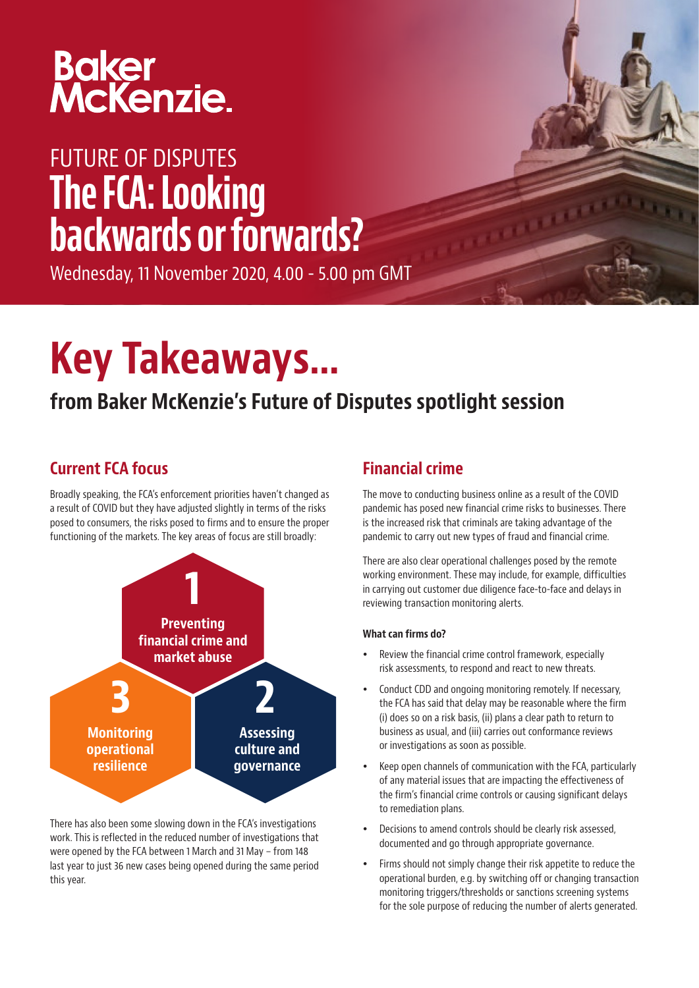# Baker<br>McKenzie.

# FUTURE OF DISPUTES The FCA: Looking backwards or forwards?

Wednesday, 11 November 2020, 4.00 - 5.00 pm GMT

# Key Takeaways…

# from Baker McKenzie's Future of Disputes spotlight session

# Current FCA focus

Broadly speaking, the FCA's enforcement priorities haven't changed as a result of COVID but they have adjusted slightly in terms of the risks posed to consumers, the risks posed to firms and to ensure the proper functioning of the markets. The key areas of focus are still broadly:



There has also been some slowing down in the FCA's investigations work. This is reflected in the reduced number of investigations that were opened by the FCA between 1 March and 31 May – from 148 last year to just 36 new cases being opened during the same period this year.

# Financial crime

The move to conducting business online as a result of the COVID pandemic has posed new financial crime risks to businesses. There is the increased risk that criminals are taking advantage of the pandemic to carry out new types of fraud and financial crime.

There are also clear operational challenges posed by the remote working environment. These may include, for example, difficulties in carrying out customer due diligence face-to-face and delays in reviewing transaction monitoring alerts.

### What can firms do?

- Review the financial crime control framework, especially risk assessments, to respond and react to new threats.
- Conduct CDD and ongoing monitoring remotely. If necessary, the FCA has said that delay may be reasonable where the firm (i) does so on a risk basis, (ii) plans a clear path to return to business as usual, and (iii) carries out conformance reviews or investigations as soon as possible.
- Keep open channels of communication with the FCA, particularly of any material issues that are impacting the effectiveness of the firm's financial crime controls or causing significant delays to remediation plans.
- Decisions to amend controls should be clearly risk assessed, documented and go through appropriate governance.
- Firms should not simply change their risk appetite to reduce the operational burden, e.g. by switching off or changing transaction monitoring triggers/thresholds or sanctions screening systems for the sole purpose of reducing the number of alerts generated.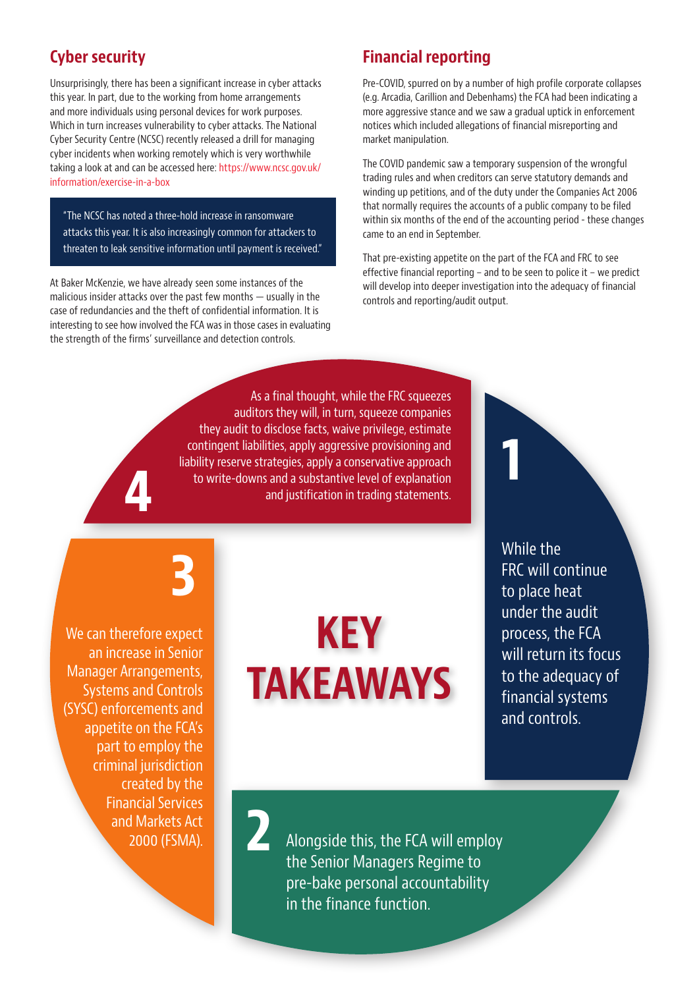### Cyber security

Unsurprisingly, there has been a significant increase in cyber attacks this year. In part, due to the working from home arrangements and more individuals using personal devices for work purposes. Which in turn increases vulnerability to cyber attacks. The National Cyber Security Centre (NCSC) recently released a drill for managing cyber incidents when working remotely which is very worthwhile taking a look at and can be accessed here: [https://www.ncsc.gov.uk/](https://www.ncsc.gov.uk/information/exercise-in-a-box) [information/exercise-in-a-box](https://www.ncsc.gov.uk/information/exercise-in-a-box)

"The NCSC has noted a three-hold increase in ransomware attacks this year. It is also increasingly common for attackers to threaten to leak sensitive information until payment is received."

At Baker McKenzie, we have already seen some instances of the malicious insider attacks over the past few months — usually in the case of redundancies and the theft of confidential information. It is interesting to see how involved the FCA was in those cases in evaluating the strength of the firms' surveillance and detection controls.

## Financial reporting

Pre-COVID, spurred on by a number of high profile corporate collapses (e.g. Arcadia, Carillion and Debenhams) the FCA had been indicating a more aggressive stance and we saw a gradual uptick in enforcement notices which included allegations of financial misreporting and market manipulation.

The COVID pandemic saw a temporary suspension of the wrongful trading rules and when creditors can serve statutory demands and winding up petitions, and of the duty under the Companies Act 2006 that normally requires the accounts of a public company to be filed within six months of the end of the accounting period - these changes came to an end in September.

That pre-existing appetite on the part of the FCA and FRC to see effective financial reporting – and to be seen to police it – we predict will develop into deeper investigation into the adequacy of financial controls and reporting/audit output.

1

As a final thought, while the FRC squeezes auditors they will, in turn, squeeze companies they audit to disclose facts, waive privilege, estimate contingent liabilities, apply aggressive provisioning and liability reserve strategies, apply a conservative approach to write-downs and a substantive level of explanation and justification in trading statements.

3

We can therefore expect an increase in Senior Manager Arrangements, Systems and Controls (SYSC) enforcements and appetite on the FCA's part to employ the criminal jurisdiction created by the Financial Services and Markets Act 2000 (FSMA).

4

# KEY TAKEAWAYS

2

While the FRC will continue to place heat under the audit process, the FCA will return its focus to the adequacy of financial systems and controls.

Alongside this, the FCA will employ the Senior Managers Regime to pre-bake personal accountability in the finance function.